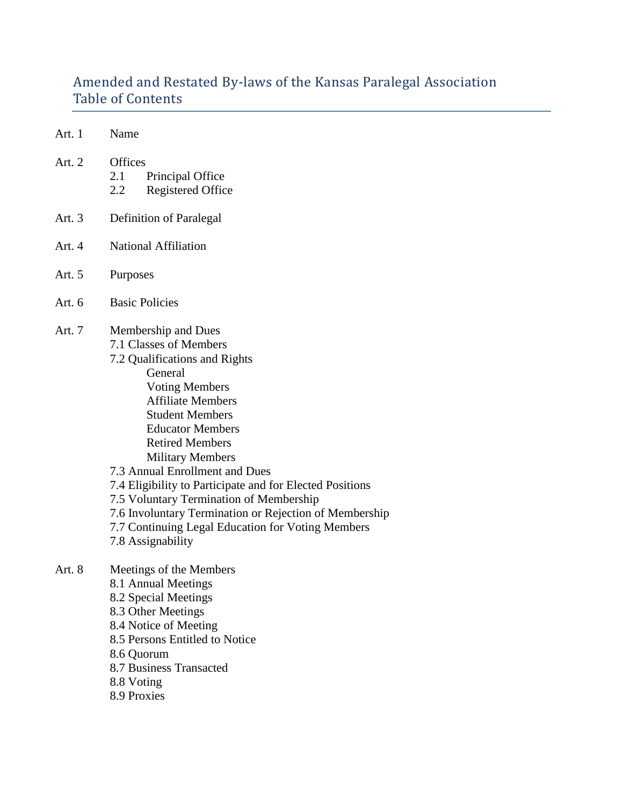# Amended and Restated By-laws of the Kansas Paralegal Association Table of Contents

- Art. 1 Name
- Art. 2 Offices
	- 2.1 Principal Office
	- 2.2 Registered Office
- Art. 3 Definition of Paralegal
- Art. 4 National Affiliation
- Art. 5 Purposes
- Art. 6 Basic Policies
- Art. 7 Membership and Dues
	- 7.1 Classes of Members
		- 7.2 Qualifications and Rights General Voting Members Affiliate Members Student Members Educator Members Retired Members Military Members
		- 7.3 Annual Enrollment and Dues
		- 7.4 Eligibility to Participate and for Elected Positions
		- 7.5 Voluntary Termination of Membership
		- 7.6 Involuntary Termination or Rejection of Membership
		- 7.7 Continuing Legal Education for Voting Members
		- 7.8 Assignability
- Art. 8 Meetings of the Members 8.1 Annual Meetings 8.2 Special Meetings 8.3 Other Meetings 8.4 Notice of Meeting 8.5 Persons Entitled to Notice 8.6 Quorum 8.7 Business Transacted 8.8 Voting 8.9 Proxies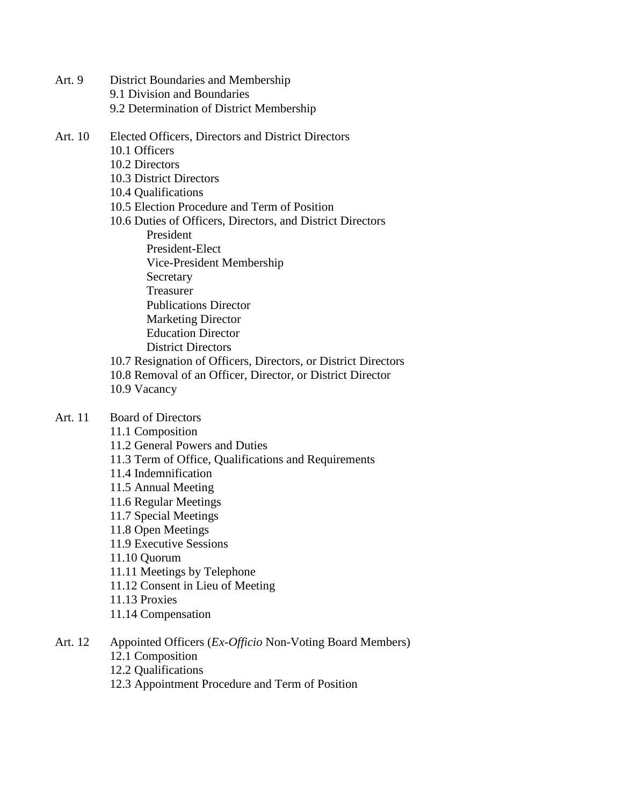- Art. 9 District Boundaries and Membership 9.1 Division and Boundaries 9.2 Determination of District Membership
- Art. 10 Elected Officers, Directors and District Directors
	- 10.1 Officers
	- 10.2 Directors
	- 10.3 District Directors
	- 10.4 Qualifications
	- 10.5 Election Procedure and Term of Position
	- 10.6 Duties of Officers, Directors, and District Directors
		- President
		- President-Elect
		- Vice-President Membership
		- **Secretary**
		- Treasurer
		- Publications Director
		- Marketing Director
		- Education Director
		- District Directors
	- 10.7 Resignation of Officers, Directors, or District Directors
	- 10.8 Removal of an Officer, Director, or District Director
	- 10.9 Vacancy
- Art. 11 Board of Directors
	- 11.1 Composition
	- 11.2 General Powers and Duties
	- 11.3 Term of Office, Qualifications and Requirements
	- 11.4 Indemnification
	- 11.5 Annual Meeting
	- 11.6 Regular Meetings
	- 11.7 Special Meetings
	- 11.8 Open Meetings
	- 11.9 Executive Sessions
	- 11.10 Quorum
	- 11.11 Meetings by Telephone
	- 11.12 Consent in Lieu of Meeting
	- 11.13 Proxies
	- 11.14 Compensation
- Art. 12 Appointed Officers (*Ex-Officio* Non-Voting Board Members)
	- 12.1 Composition
	- 12.2 Qualifications
	- 12.3 Appointment Procedure and Term of Position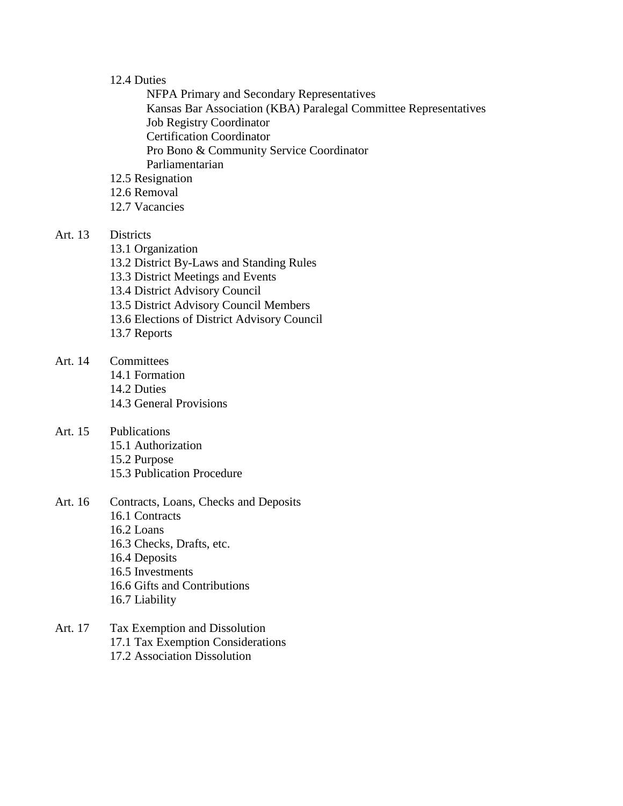#### 12.4 Duties

NFPA Primary and Secondary Representatives Kansas Bar Association (KBA) Paralegal Committee Representatives Job Registry Coordinator Certification Coordinator Pro Bono & Community Service Coordinator Parliamentarian

- 12.5 Resignation
- 12.6 Removal
- 12.7 Vacancies

# Art. 13 Districts

- 13.1 Organization
- 13.2 District By-Laws and Standing Rules
- 13.3 District Meetings and Events
- 13.4 District Advisory Council
- 13.5 District Advisory Council Members
- 13.6 Elections of District Advisory Council
- 13.7 Reports
- Art. 14 Committees 14.1 Formation 14.2 Duties 14.3 General Provisions
- Art. 15 Publications 15.1 Authorization 15.2 Purpose 15.3 Publication Procedure
- Art. 16 Contracts, Loans, Checks and Deposits 16.1 Contracts 16.2 Loans 16.3 Checks, Drafts, etc. 16.4 Deposits 16.5 Investments 16.6 Gifts and Contributions 16.7 Liability
- Art. 17 Tax Exemption and Dissolution 17.1 Tax Exemption Considerations 17.2 Association Dissolution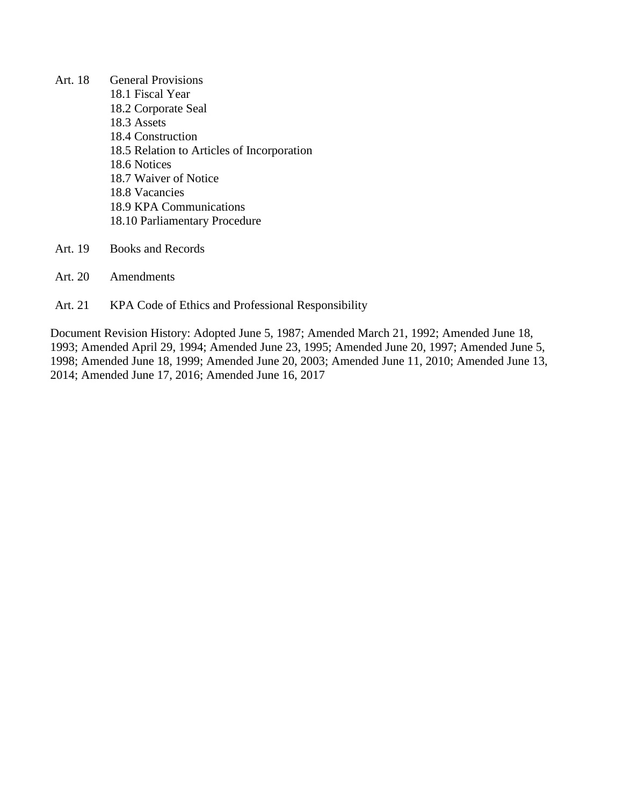- Art. 18 General Provisions 18.1 Fiscal Year 18.2 Corporate Seal 18.3 Assets 18.4 Construction 18.5 Relation to Articles of Incorporation 18.6 Notices 18.7 Waiver of Notice 18.8 Vacancies 18.9 KPA Communications 18.10 Parliamentary Procedure
- Art. 19 Books and Records
- Art. 20 Amendments
- Art. 21 KPA Code of Ethics and Professional Responsibility

Document Revision History: Adopted June 5, 1987; Amended March 21, 1992; Amended June 18, 1993; Amended April 29, 1994; Amended June 23, 1995; Amended June 20, 1997; Amended June 5, 1998; Amended June 18, 1999; Amended June 20, 2003; Amended June 11, 2010; Amended June 13, 2014; Amended June 17, 2016; Amended June 16, 2017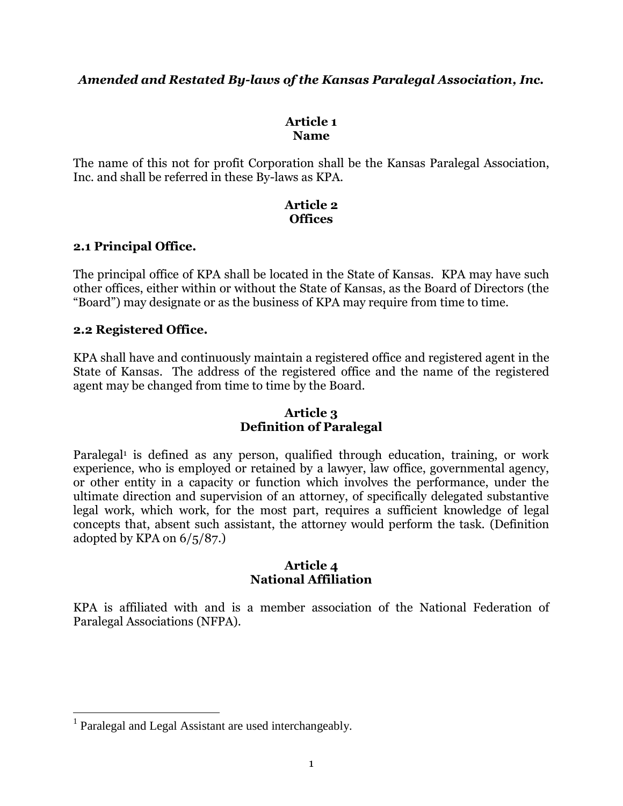# *Amended and Restated By-laws of the Kansas Paralegal Association, Inc.*

# **Article 1 Name**

The name of this not for profit Corporation shall be the Kansas Paralegal Association, Inc. and shall be referred in these By-laws as KPA.

### **Article 2 Offices**

# **2.1 Principal Office.**

The principal office of KPA shall be located in the State of Kansas. KPA may have such other offices, either within or without the State of Kansas, as the Board of Directors (the "Board") may designate or as the business of KPA may require from time to time.

# **2.2 Registered Office.**

KPA shall have and continuously maintain a registered office and registered agent in the State of Kansas. The address of the registered office and the name of the registered agent may be changed from time to time by the Board.

### **Article 3 Definition of Paralegal**

Paralegal<sup>1</sup> is defined as any person, qualified through education, training, or work experience, who is employed or retained by a lawyer, law office, governmental agency, or other entity in a capacity or function which involves the performance, under the ultimate direction and supervision of an attorney, of specifically delegated substantive legal work, which work, for the most part, requires a sufficient knowledge of legal concepts that, absent such assistant, the attorney would perform the task. (Definition adopted by KPA on 6/5/87.)

#### **Article 4 National Affiliation**

KPA is affiliated with and is a member association of the National Federation of Paralegal Associations (NFPA).

 1 Paralegal and Legal Assistant are used interchangeably.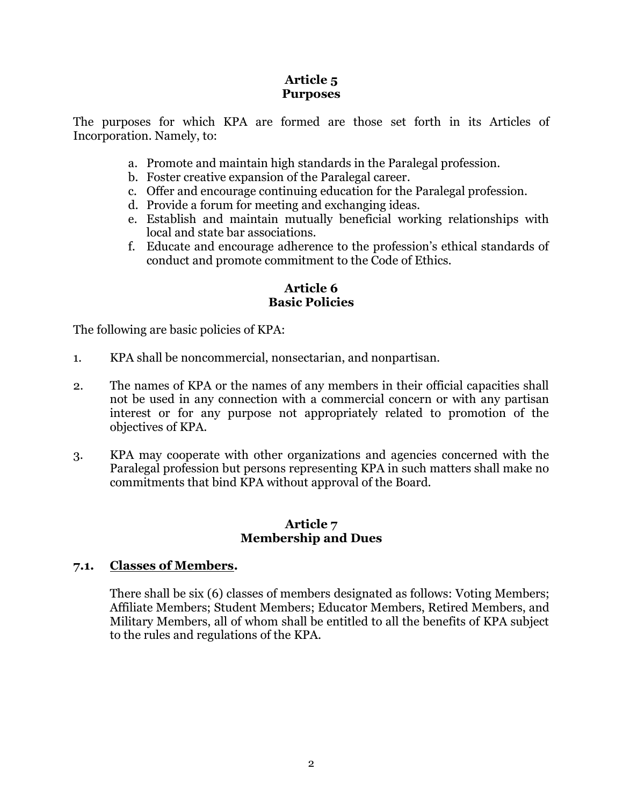# **Article 5 Purposes**

The purposes for which KPA are formed are those set forth in its Articles of Incorporation. Namely, to:

- a. Promote and maintain high standards in the Paralegal profession.
- b. Foster creative expansion of the Paralegal career.
- c. Offer and encourage continuing education for the Paralegal profession.
- d. Provide a forum for meeting and exchanging ideas.
- e. Establish and maintain mutually beneficial working relationships with local and state bar associations.
- f. Educate and encourage adherence to the profession's ethical standards of conduct and promote commitment to the Code of Ethics.

### **Article 6 Basic Policies**

The following are basic policies of KPA:

- 1. KPA shall be noncommercial, nonsectarian, and nonpartisan.
- 2. The names of KPA or the names of any members in their official capacities shall not be used in any connection with a commercial concern or with any partisan interest or for any purpose not appropriately related to promotion of the objectives of KPA.
- 3. KPA may cooperate with other organizations and agencies concerned with the Paralegal profession but persons representing KPA in such matters shall make no commitments that bind KPA without approval of the Board.

#### **Article 7 Membership and Dues**

# **7.1. Classes of Members.**

There shall be six (6) classes of members designated as follows: Voting Members; Affiliate Members; Student Members; Educator Members, Retired Members, and Military Members, all of whom shall be entitled to all the benefits of KPA subject to the rules and regulations of the KPA.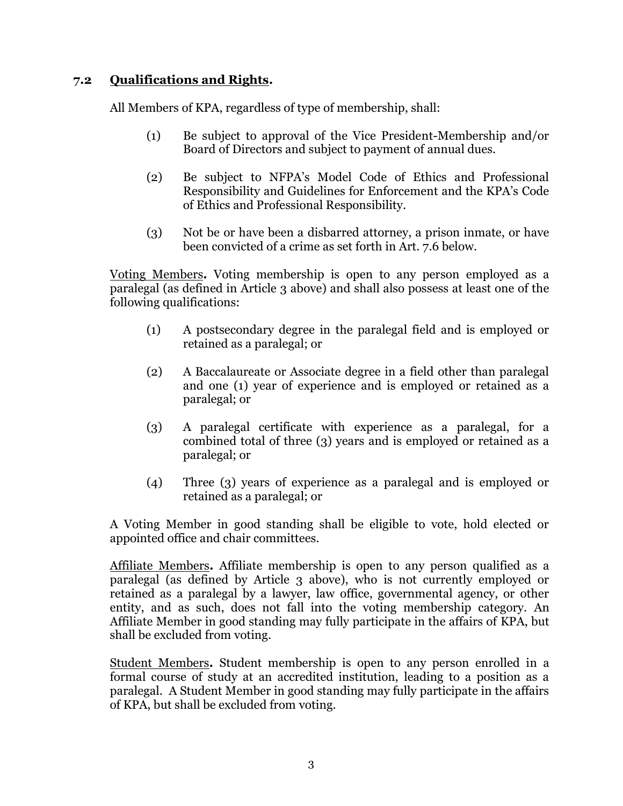# **7.2 Qualifications and Rights.**

All Members of KPA, regardless of type of membership, shall:

- (1) Be subject to approval of the Vice President-Membership and/or Board of Directors and subject to payment of annual dues.
- (2) Be subject to NFPA's Model Code of Ethics and Professional Responsibility and Guidelines for Enforcement and the KPA's Code of Ethics and Professional Responsibility.
- (3) Not be or have been a disbarred attorney, a prison inmate, or have been convicted of a crime as set forth in Art. 7.6 below.

Voting Members**.** Voting membership is open to any person employed as a paralegal (as defined in Article 3 above) and shall also possess at least one of the following qualifications:

- (1) A postsecondary degree in the paralegal field and is employed or retained as a paralegal; or
- (2) A Baccalaureate or Associate degree in a field other than paralegal and one (1) year of experience and is employed or retained as a paralegal; or
- (3) A paralegal certificate with experience as a paralegal, for a combined total of three (3) years and is employed or retained as a paralegal; or
- (4) Three (3) years of experience as a paralegal and is employed or retained as a paralegal; or

A Voting Member in good standing shall be eligible to vote, hold elected or appointed office and chair committees.

Affiliate Members**.** Affiliate membership is open to any person qualified as a paralegal (as defined by Article 3 above), who is not currently employed or retained as a paralegal by a lawyer, law office, governmental agency, or other entity, and as such, does not fall into the voting membership category. An Affiliate Member in good standing may fully participate in the affairs of KPA, but shall be excluded from voting.

Student Members**.** Student membership is open to any person enrolled in a formal course of study at an accredited institution, leading to a position as a paralegal. A Student Member in good standing may fully participate in the affairs of KPA, but shall be excluded from voting.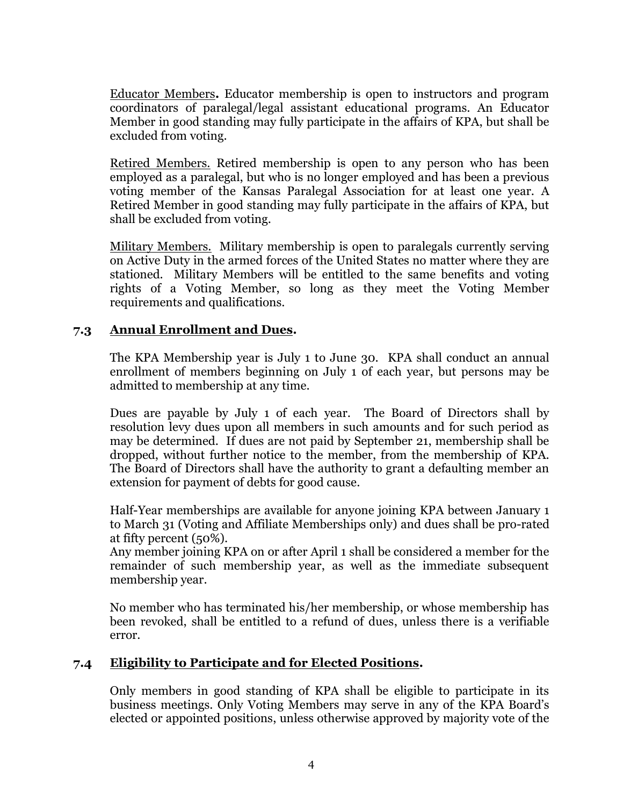Educator Members**.** Educator membership is open to instructors and program coordinators of paralegal/legal assistant educational programs. An Educator Member in good standing may fully participate in the affairs of KPA, but shall be excluded from voting.

Retired Members. Retired membership is open to any person who has been employed as a paralegal, but who is no longer employed and has been a previous voting member of the Kansas Paralegal Association for at least one year. A Retired Member in good standing may fully participate in the affairs of KPA, but shall be excluded from voting.

Military Members. Military membership is open to paralegals currently serving on Active Duty in the armed forces of the United States no matter where they are stationed. Military Members will be entitled to the same benefits and voting rights of a Voting Member, so long as they meet the Voting Member requirements and qualifications.

# **7.3 Annual Enrollment and Dues.**

The KPA Membership year is July 1 to June 30. KPA shall conduct an annual enrollment of members beginning on July 1 of each year, but persons may be admitted to membership at any time.

Dues are payable by July 1 of each year. The Board of Directors shall by resolution levy dues upon all members in such amounts and for such period as may be determined. If dues are not paid by September 21, membership shall be dropped, without further notice to the member, from the membership of KPA. The Board of Directors shall have the authority to grant a defaulting member an extension for payment of debts for good cause.

Half-Year memberships are available for anyone joining KPA between January 1 to March 31 (Voting and Affiliate Memberships only) and dues shall be pro-rated at fifty percent (50%).

Any member joining KPA on or after April 1 shall be considered a member for the remainder of such membership year, as well as the immediate subsequent membership year.

No member who has terminated his/her membership, or whose membership has been revoked, shall be entitled to a refund of dues, unless there is a verifiable error.

# **7.4 Eligibility to Participate and for Elected Positions.**

Only members in good standing of KPA shall be eligible to participate in its business meetings. Only Voting Members may serve in any of the KPA Board's elected or appointed positions, unless otherwise approved by majority vote of the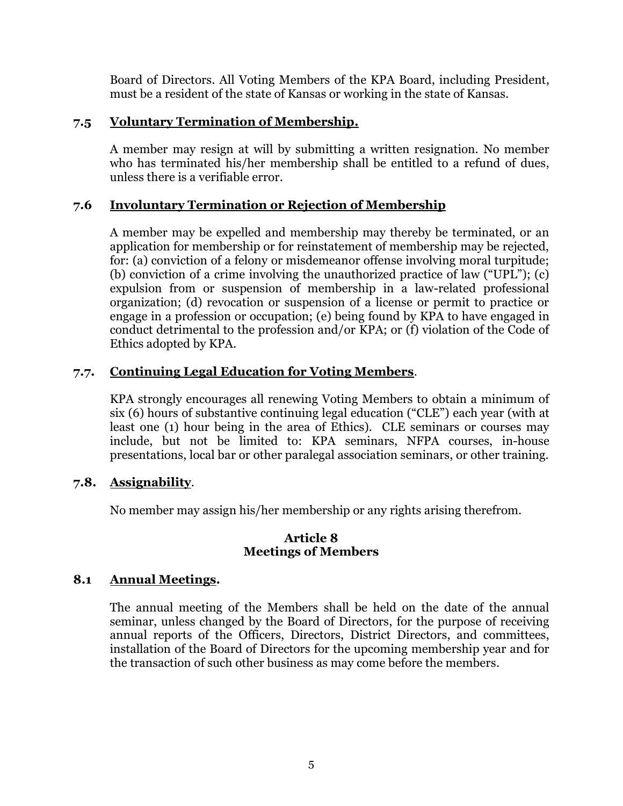Board of Directors. All Voting Members of the KPA Board, including President, must be a resident of the state of Kansas or working in the state of Kansas.

# **7.5 Voluntary Termination of Membership.**

A member may resign at will by submitting a written resignation. No member who has terminated his/her membership shall be entitled to a refund of dues, unless there is a verifiable error.

# **7.6 Involuntary Termination or Rejection of Membership**

A member may be expelled and membership may thereby be terminated, or an application for membership or for reinstatement of membership may be rejected, for: (a) conviction of a felony or misdemeanor offense involving moral turpitude; (b) conviction of a crime involving the unauthorized practice of law ("UPL"); (c) expulsion from or suspension of membership in a law-related professional organization; (d) revocation or suspension of a license or permit to practice or engage in a profession or occupation; (e) being found by KPA to have engaged in conduct detrimental to the profession and/or KPA; or (f) violation of the Code of Ethics adopted by KPA.

# **7.7. Continuing Legal Education for Voting Members**.

KPA strongly encourages all renewing Voting Members to obtain a minimum of six (6) hours of substantive continuing legal education ("CLE") each year (with at least one (1) hour being in the area of Ethics). CLE seminars or courses may include, but not be limited to: KPA seminars, NFPA courses, in-house presentations, local bar or other paralegal association seminars, or other training.

# **7.8. Assignability**.

No member may assign his/her membership or any rights arising therefrom.

# **Article 8 Meetings of Members**

# **8.1 Annual Meetings.**

The annual meeting of the Members shall be held on the date of the annual seminar, unless changed by the Board of Directors, for the purpose of receiving annual reports of the Officers, Directors, District Directors, and committees, installation of the Board of Directors for the upcoming membership year and for the transaction of such other business as may come before the members.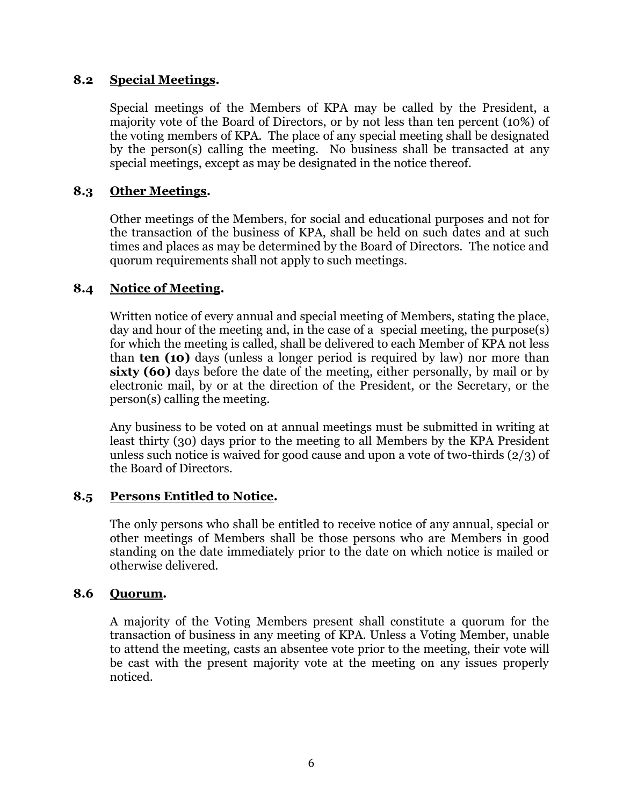# **8.2 Special Meetings.**

Special meetings of the Members of KPA may be called by the President, a majority vote of the Board of Directors, or by not less than ten percent (10%) of the voting members of KPA. The place of any special meeting shall be designated by the person(s) calling the meeting. No business shall be transacted at any special meetings, except as may be designated in the notice thereof.

# **8.3 Other Meetings.**

Other meetings of the Members, for social and educational purposes and not for the transaction of the business of KPA, shall be held on such dates and at such times and places as may be determined by the Board of Directors. The notice and quorum requirements shall not apply to such meetings.

# **8.4 Notice of Meeting.**

Written notice of every annual and special meeting of Members, stating the place, day and hour of the meeting and, in the case of a special meeting, the purpose(s) for which the meeting is called, shall be delivered to each Member of KPA not less than **ten (10)** days (unless a longer period is required by law) nor more than **sixty (60)** days before the date of the meeting, either personally, by mail or by electronic mail, by or at the direction of the President, or the Secretary, or the person(s) calling the meeting.

Any business to be voted on at annual meetings must be submitted in writing at least thirty (30) days prior to the meeting to all Members by the KPA President unless such notice is waived for good cause and upon a vote of two-thirds (2/3) of the Board of Directors.

# **8.5 Persons Entitled to Notice.**

The only persons who shall be entitled to receive notice of any annual, special or other meetings of Members shall be those persons who are Members in good standing on the date immediately prior to the date on which notice is mailed or otherwise delivered.

# **8.6 Quorum.**

A majority of the Voting Members present shall constitute a quorum for the transaction of business in any meeting of KPA. Unless a Voting Member, unable to attend the meeting, casts an absentee vote prior to the meeting, their vote will be cast with the present majority vote at the meeting on any issues properly noticed.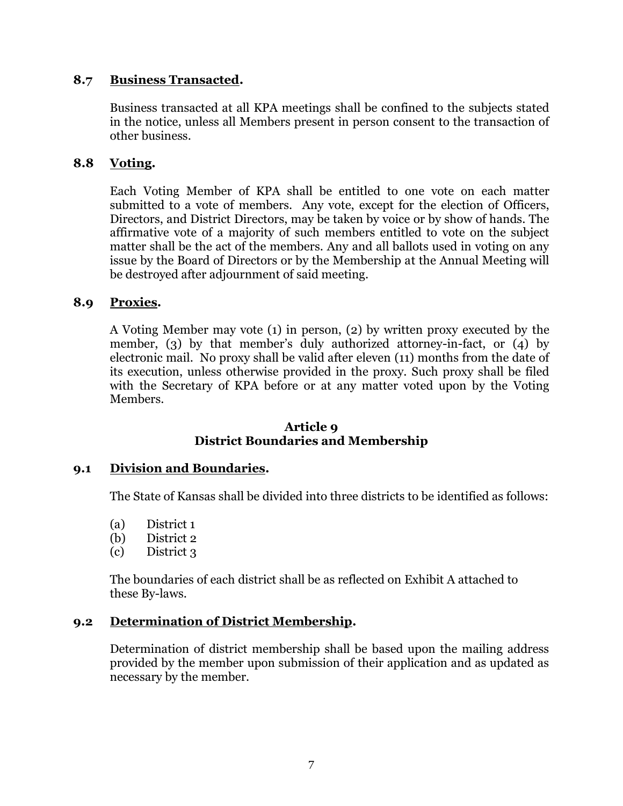# **8.7 Business Transacted.**

Business transacted at all KPA meetings shall be confined to the subjects stated in the notice, unless all Members present in person consent to the transaction of other business.

### **8.8 Voting.**

Each Voting Member of KPA shall be entitled to one vote on each matter submitted to a vote of members. Any vote, except for the election of Officers, Directors, and District Directors, may be taken by voice or by show of hands. The affirmative vote of a majority of such members entitled to vote on the subject matter shall be the act of the members. Any and all ballots used in voting on any issue by the Board of Directors or by the Membership at the Annual Meeting will be destroyed after adjournment of said meeting.

### **8.9 Proxies.**

A Voting Member may vote (1) in person, (2) by written proxy executed by the member, (3) by that member's duly authorized attorney-in-fact, or (4) by electronic mail. No proxy shall be valid after eleven (11) months from the date of its execution, unless otherwise provided in the proxy. Such proxy shall be filed with the Secretary of KPA before or at any matter voted upon by the Voting Members.

#### **Article 9 District Boundaries and Membership**

#### **9.1 Division and Boundaries.**

The State of Kansas shall be divided into three districts to be identified as follows:

- (a) District 1
- (b) District 2
- (c) District 3

The boundaries of each district shall be as reflected on Exhibit A attached to these By-laws.

#### **9.2 Determination of District Membership.**

Determination of district membership shall be based upon the mailing address provided by the member upon submission of their application and as updated as necessary by the member.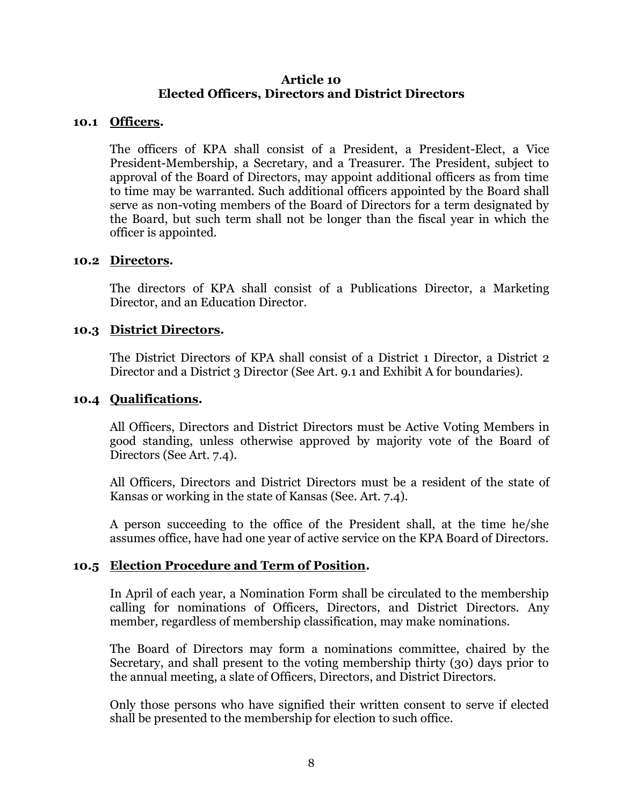### **Article 10 Elected Officers, Directors and District Directors**

#### **10.1 Officers.**

The officers of KPA shall consist of a President, a President-Elect, a Vice President-Membership, a Secretary, and a Treasurer. The President, subject to approval of the Board of Directors, may appoint additional officers as from time to time may be warranted. Such additional officers appointed by the Board shall serve as non-voting members of the Board of Directors for a term designated by the Board, but such term shall not be longer than the fiscal year in which the officer is appointed.

#### **10.2 Directors.**

The directors of KPA shall consist of a Publications Director, a Marketing Director, and an Education Director.

#### **10.3 District Directors.**

The District Directors of KPA shall consist of a District 1 Director, a District 2 Director and a District 3 Director (See Art. 9.1 and Exhibit A for boundaries).

#### **10.4 Qualifications.**

All Officers, Directors and District Directors must be Active Voting Members in good standing, unless otherwise approved by majority vote of the Board of Directors (See Art. 7.4).

All Officers, Directors and District Directors must be a resident of the state of Kansas or working in the state of Kansas (See. Art. 7.4).

A person succeeding to the office of the President shall, at the time he/she assumes office, have had one year of active service on the KPA Board of Directors.

# **10.5 Election Procedure and Term of Position.**

In April of each year, a Nomination Form shall be circulated to the membership calling for nominations of Officers, Directors, and District Directors. Any member, regardless of membership classification, may make nominations.

The Board of Directors may form a nominations committee, chaired by the Secretary, and shall present to the voting membership thirty (30) days prior to the annual meeting, a slate of Officers, Directors, and District Directors.

Only those persons who have signified their written consent to serve if elected shall be presented to the membership for election to such office.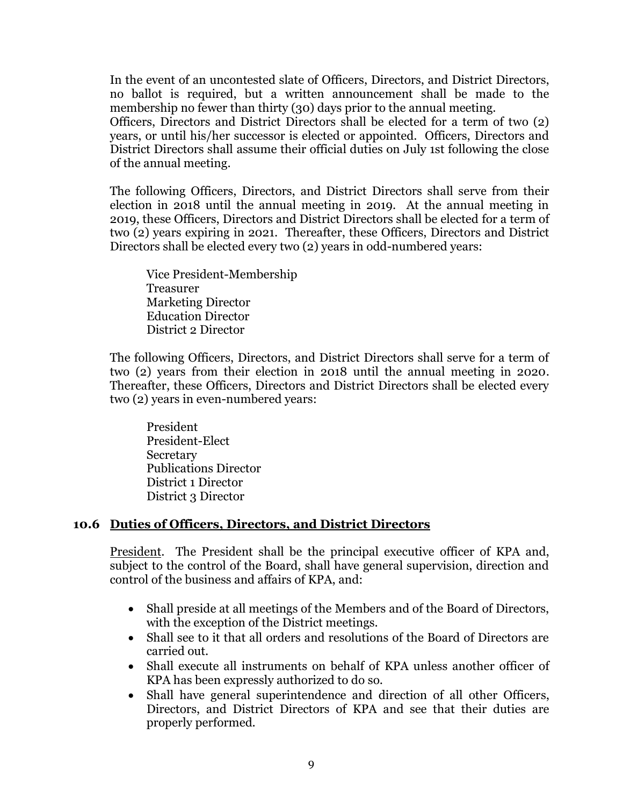In the event of an uncontested slate of Officers, Directors, and District Directors, no ballot is required, but a written announcement shall be made to the membership no fewer than thirty (30) days prior to the annual meeting.

Officers, Directors and District Directors shall be elected for a term of two (2) years, or until his/her successor is elected or appointed. Officers, Directors and District Directors shall assume their official duties on July 1st following the close of the annual meeting.

The following Officers, Directors, and District Directors shall serve from their election in 2018 until the annual meeting in 2019. At the annual meeting in 2019, these Officers, Directors and District Directors shall be elected for a term of two (2) years expiring in 2021. Thereafter, these Officers, Directors and District Directors shall be elected every two (2) years in odd-numbered years:

Vice President-Membership Treasurer Marketing Director Education Director District 2 Director

The following Officers, Directors, and District Directors shall serve for a term of two (2) years from their election in 2018 until the annual meeting in 2020. Thereafter, these Officers, Directors and District Directors shall be elected every two (2) years in even-numbered years:

President President-Elect Secretary Publications Director District 1 Director District 3 Director

# **10.6 Duties of Officers, Directors, and District Directors**

President. The President shall be the principal executive officer of KPA and, subject to the control of the Board, shall have general supervision, direction and control of the business and affairs of KPA, and:

- Shall preside at all meetings of the Members and of the Board of Directors, with the exception of the District meetings.
- Shall see to it that all orders and resolutions of the Board of Directors are carried out.
- Shall execute all instruments on behalf of KPA unless another officer of KPA has been expressly authorized to do so.
- Shall have general superintendence and direction of all other Officers, Directors, and District Directors of KPA and see that their duties are properly performed.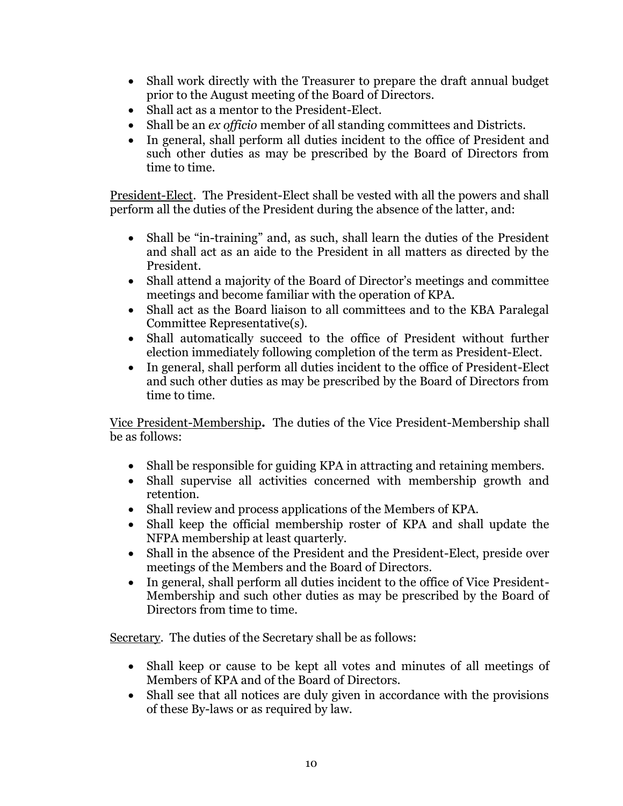- Shall work directly with the Treasurer to prepare the draft annual budget prior to the August meeting of the Board of Directors.
- Shall act as a mentor to the President-Elect.
- Shall be an *ex officio* member of all standing committees and Districts.
- In general, shall perform all duties incident to the office of President and such other duties as may be prescribed by the Board of Directors from time to time.

President-Elect. The President-Elect shall be vested with all the powers and shall perform all the duties of the President during the absence of the latter, and:

- Shall be "in-training" and, as such, shall learn the duties of the President and shall act as an aide to the President in all matters as directed by the President.
- Shall attend a majority of the Board of Director's meetings and committee meetings and become familiar with the operation of KPA.
- Shall act as the Board liaison to all committees and to the KBA Paralegal Committee Representative(s).
- Shall automatically succeed to the office of President without further election immediately following completion of the term as President-Elect.
- In general, shall perform all duties incident to the office of President-Elect and such other duties as may be prescribed by the Board of Directors from time to time.

Vice President-Membership**.** The duties of the Vice President-Membership shall be as follows:

- Shall be responsible for guiding KPA in attracting and retaining members.
- Shall supervise all activities concerned with membership growth and retention.
- Shall review and process applications of the Members of KPA.
- Shall keep the official membership roster of KPA and shall update the NFPA membership at least quarterly.
- Shall in the absence of the President and the President-Elect, preside over meetings of the Members and the Board of Directors.
- In general, shall perform all duties incident to the office of Vice President-Membership and such other duties as may be prescribed by the Board of Directors from time to time.

Secretary. The duties of the Secretary shall be as follows:

- Shall keep or cause to be kept all votes and minutes of all meetings of Members of KPA and of the Board of Directors.
- Shall see that all notices are duly given in accordance with the provisions of these By-laws or as required by law.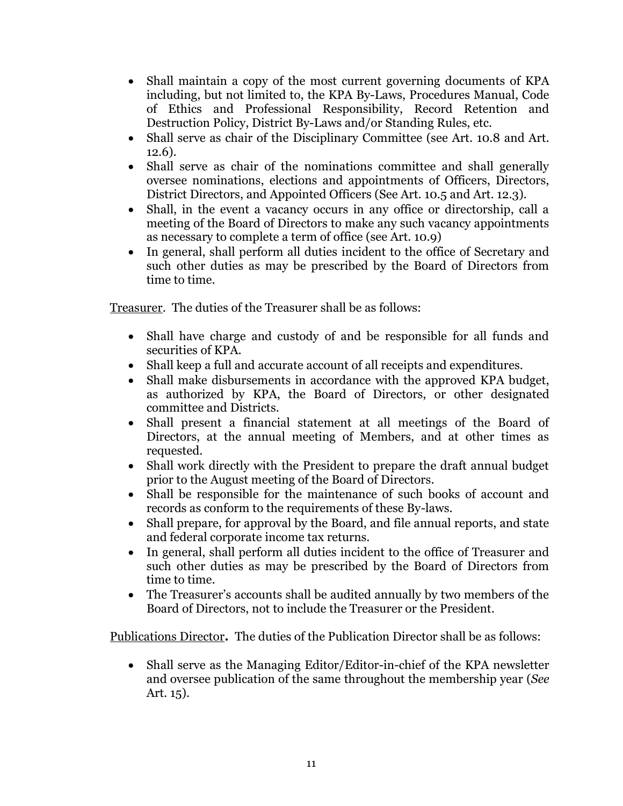- Shall maintain a copy of the most current governing documents of KPA including, but not limited to, the KPA By-Laws, Procedures Manual, Code of Ethics and Professional Responsibility, Record Retention and Destruction Policy, District By-Laws and/or Standing Rules, etc.
- Shall serve as chair of the Disciplinary Committee (see Art. 10.8 and Art. 12.6).
- Shall serve as chair of the nominations committee and shall generally oversee nominations, elections and appointments of Officers, Directors, District Directors, and Appointed Officers (See Art. 10.5 and Art. 12.3).
- Shall, in the event a vacancy occurs in any office or directorship, call a meeting of the Board of Directors to make any such vacancy appointments as necessary to complete a term of office (see Art. 10.9)
- In general, shall perform all duties incident to the office of Secretary and such other duties as may be prescribed by the Board of Directors from time to time.

Treasurer. The duties of the Treasurer shall be as follows:

- Shall have charge and custody of and be responsible for all funds and securities of KPA.
- Shall keep a full and accurate account of all receipts and expenditures.
- Shall make disbursements in accordance with the approved KPA budget, as authorized by KPA, the Board of Directors, or other designated committee and Districts.
- Shall present a financial statement at all meetings of the Board of Directors, at the annual meeting of Members, and at other times as requested.
- Shall work directly with the President to prepare the draft annual budget prior to the August meeting of the Board of Directors.
- Shall be responsible for the maintenance of such books of account and records as conform to the requirements of these By-laws.
- Shall prepare, for approval by the Board, and file annual reports, and state and federal corporate income tax returns.
- In general, shall perform all duties incident to the office of Treasurer and such other duties as may be prescribed by the Board of Directors from time to time.
- The Treasurer's accounts shall be audited annually by two members of the Board of Directors, not to include the Treasurer or the President.

Publications Director**.** The duties of the Publication Director shall be as follows:

 Shall serve as the Managing Editor/Editor-in-chief of the KPA newsletter and oversee publication of the same throughout the membership year (*See* Art. 15).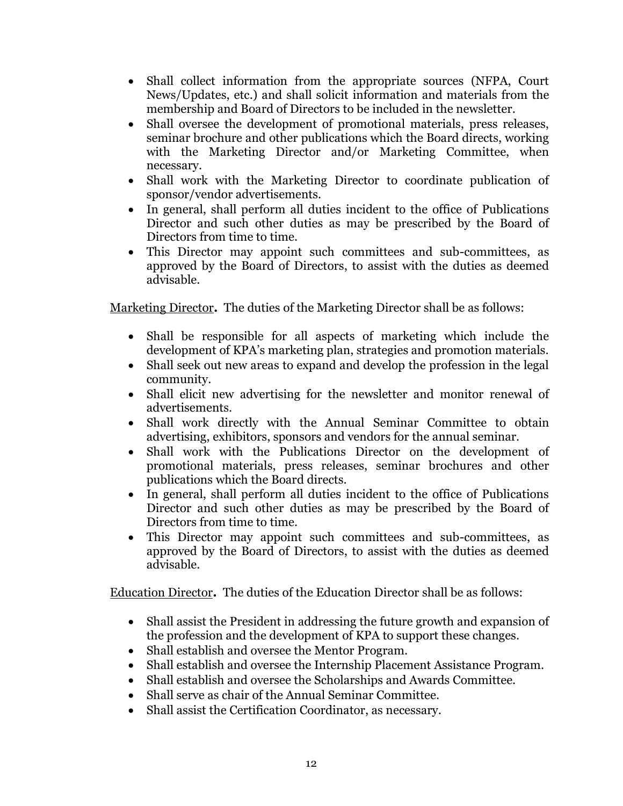- Shall collect information from the appropriate sources (NFPA, Court News/Updates, etc.) and shall solicit information and materials from the membership and Board of Directors to be included in the newsletter.
- Shall oversee the development of promotional materials, press releases, seminar brochure and other publications which the Board directs, working with the Marketing Director and/or Marketing Committee, when necessary.
- Shall work with the Marketing Director to coordinate publication of sponsor/vendor advertisements.
- In general, shall perform all duties incident to the office of Publications Director and such other duties as may be prescribed by the Board of Directors from time to time.
- This Director may appoint such committees and sub-committees, as approved by the Board of Directors, to assist with the duties as deemed advisable.

Marketing Director**.** The duties of the Marketing Director shall be as follows:

- Shall be responsible for all aspects of marketing which include the development of KPA's marketing plan, strategies and promotion materials.
- Shall seek out new areas to expand and develop the profession in the legal community.
- Shall elicit new advertising for the newsletter and monitor renewal of advertisements.
- Shall work directly with the Annual Seminar Committee to obtain advertising, exhibitors, sponsors and vendors for the annual seminar.
- Shall work with the Publications Director on the development of promotional materials, press releases, seminar brochures and other publications which the Board directs.
- In general, shall perform all duties incident to the office of Publications Director and such other duties as may be prescribed by the Board of Directors from time to time.
- This Director may appoint such committees and sub-committees, as approved by the Board of Directors, to assist with the duties as deemed advisable.

Education Director**.** The duties of the Education Director shall be as follows:

- Shall assist the President in addressing the future growth and expansion of the profession and the development of KPA to support these changes.
- Shall establish and oversee the Mentor Program.
- Shall establish and oversee the Internship Placement Assistance Program.
- Shall establish and oversee the Scholarships and Awards Committee.
- Shall serve as chair of the Annual Seminar Committee.
- Shall assist the Certification Coordinator, as necessary.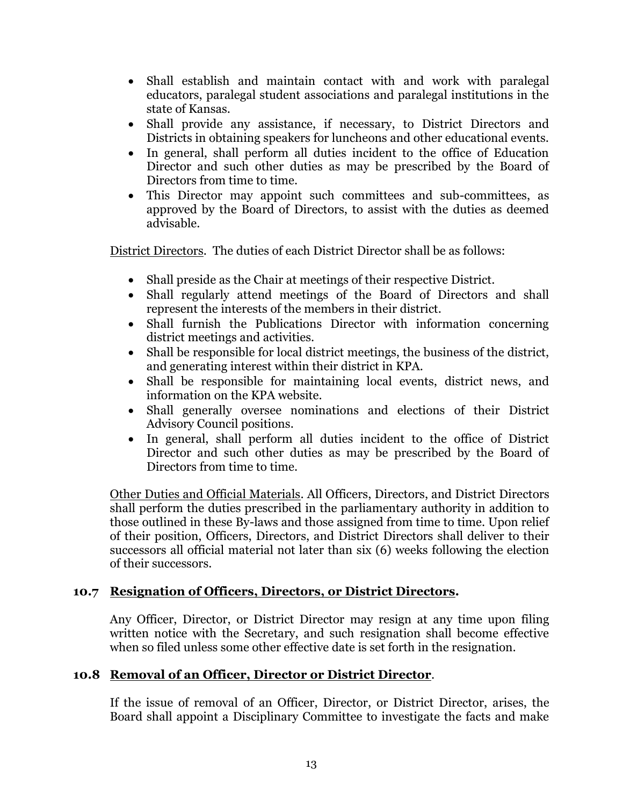- Shall establish and maintain contact with and work with paralegal educators, paralegal student associations and paralegal institutions in the state of Kansas.
- Shall provide any assistance, if necessary, to District Directors and Districts in obtaining speakers for luncheons and other educational events.
- In general, shall perform all duties incident to the office of Education Director and such other duties as may be prescribed by the Board of Directors from time to time.
- This Director may appoint such committees and sub-committees, as approved by the Board of Directors, to assist with the duties as deemed advisable.

District Directors. The duties of each District Director shall be as follows:

- Shall preside as the Chair at meetings of their respective District.
- Shall regularly attend meetings of the Board of Directors and shall represent the interests of the members in their district.
- Shall furnish the Publications Director with information concerning district meetings and activities.
- Shall be responsible for local district meetings, the business of the district, and generating interest within their district in KPA.
- Shall be responsible for maintaining local events, district news, and information on the KPA website.
- Shall generally oversee nominations and elections of their District Advisory Council positions.
- In general, shall perform all duties incident to the office of District Director and such other duties as may be prescribed by the Board of Directors from time to time.

Other Duties and Official Materials. All Officers, Directors, and District Directors shall perform the duties prescribed in the parliamentary authority in addition to those outlined in these By-laws and those assigned from time to time. Upon relief of their position, Officers, Directors, and District Directors shall deliver to their successors all official material not later than six (6) weeks following the election of their successors.

# **10.7 Resignation of Officers, Directors, or District Directors.**

Any Officer, Director, or District Director may resign at any time upon filing written notice with the Secretary, and such resignation shall become effective when so filed unless some other effective date is set forth in the resignation.

# **10.8 Removal of an Officer, Director or District Director**.

If the issue of removal of an Officer, Director, or District Director, arises, the Board shall appoint a Disciplinary Committee to investigate the facts and make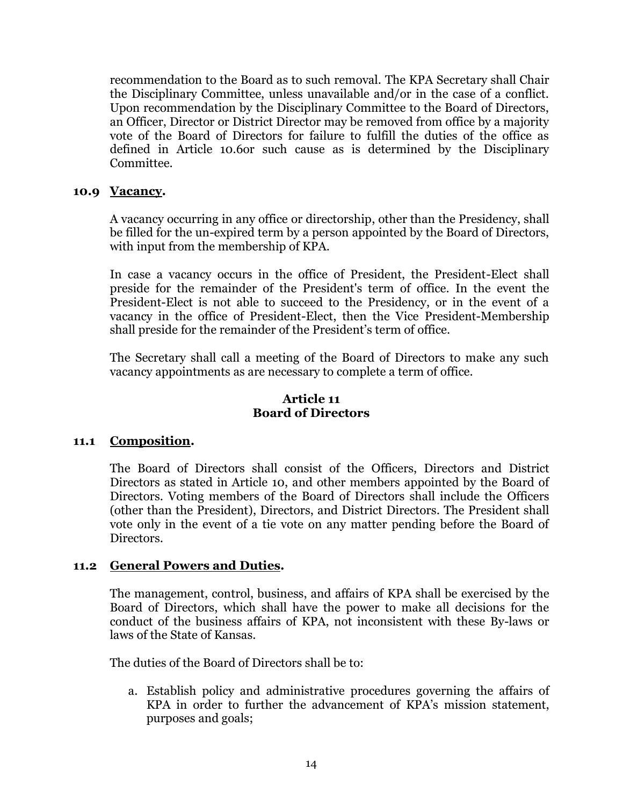recommendation to the Board as to such removal. The KPA Secretary shall Chair the Disciplinary Committee, unless unavailable and/or in the case of a conflict. Upon recommendation by the Disciplinary Committee to the Board of Directors, an Officer, Director or District Director may be removed from office by a majority vote of the Board of Directors for failure to fulfill the duties of the office as defined in Article 10.6or such cause as is determined by the Disciplinary Committee.

# **10.9 Vacancy.**

A vacancy occurring in any office or directorship, other than the Presidency, shall be filled for the un-expired term by a person appointed by the Board of Directors, with input from the membership of KPA.

In case a vacancy occurs in the office of President, the President-Elect shall preside for the remainder of the President's term of office. In the event the President-Elect is not able to succeed to the Presidency, or in the event of a vacancy in the office of President-Elect, then the Vice President-Membership shall preside for the remainder of the President's term of office.

The Secretary shall call a meeting of the Board of Directors to make any such vacancy appointments as are necessary to complete a term of office.

# **Article 11 Board of Directors**

# **11.1 Composition.**

The Board of Directors shall consist of the Officers, Directors and District Directors as stated in Article 10, and other members appointed by the Board of Directors. Voting members of the Board of Directors shall include the Officers (other than the President), Directors, and District Directors. The President shall vote only in the event of a tie vote on any matter pending before the Board of Directors.

# **11.2 General Powers and Duties.**

The management, control, business, and affairs of KPA shall be exercised by the Board of Directors, which shall have the power to make all decisions for the conduct of the business affairs of KPA, not inconsistent with these By-laws or laws of the State of Kansas.

The duties of the Board of Directors shall be to:

a. Establish policy and administrative procedures governing the affairs of KPA in order to further the advancement of KPA's mission statement, purposes and goals;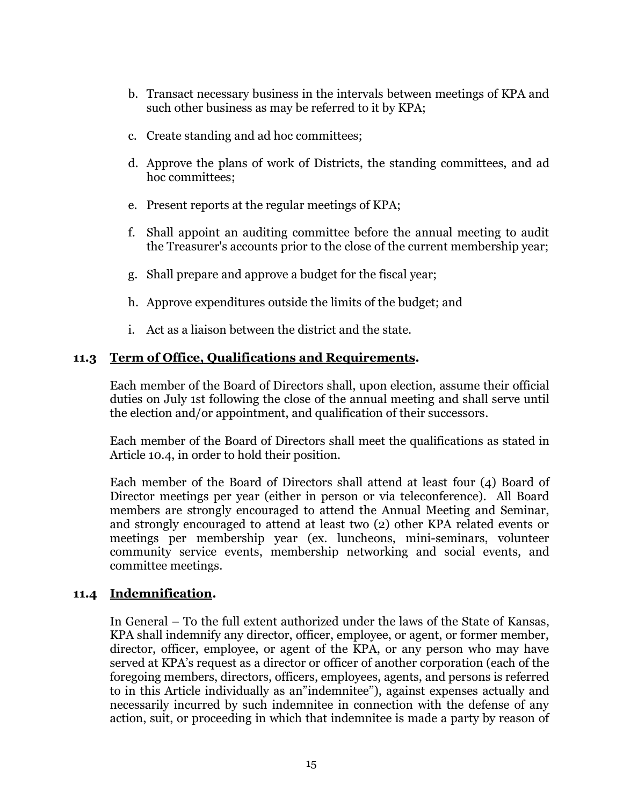- b. Transact necessary business in the intervals between meetings of KPA and such other business as may be referred to it by KPA;
- c. Create standing and ad hoc committees;
- d. Approve the plans of work of Districts, the standing committees, and ad hoc committees;
- e. Present reports at the regular meetings of KPA;
- f. Shall appoint an auditing committee before the annual meeting to audit the Treasurer's accounts prior to the close of the current membership year;
- g. Shall prepare and approve a budget for the fiscal year;
- h. Approve expenditures outside the limits of the budget; and
- i. Act as a liaison between the district and the state.

# **11.3 Term of Office, Qualifications and Requirements.**

Each member of the Board of Directors shall, upon election, assume their official duties on July 1st following the close of the annual meeting and shall serve until the election and/or appointment, and qualification of their successors.

Each member of the Board of Directors shall meet the qualifications as stated in Article 10.4, in order to hold their position.

Each member of the Board of Directors shall attend at least four (4) Board of Director meetings per year (either in person or via teleconference). All Board members are strongly encouraged to attend the Annual Meeting and Seminar, and strongly encouraged to attend at least two (2) other KPA related events or meetings per membership year (ex. luncheons, mini-seminars, volunteer community service events, membership networking and social events, and committee meetings.

# **11.4 Indemnification.**

In General – To the full extent authorized under the laws of the State of Kansas, KPA shall indemnify any director, officer, employee, or agent, or former member, director, officer, employee, or agent of the KPA, or any person who may have served at KPA's request as a director or officer of another corporation (each of the foregoing members, directors, officers, employees, agents, and persons is referred to in this Article individually as an"indemnitee"), against expenses actually and necessarily incurred by such indemnitee in connection with the defense of any action, suit, or proceeding in which that indemnitee is made a party by reason of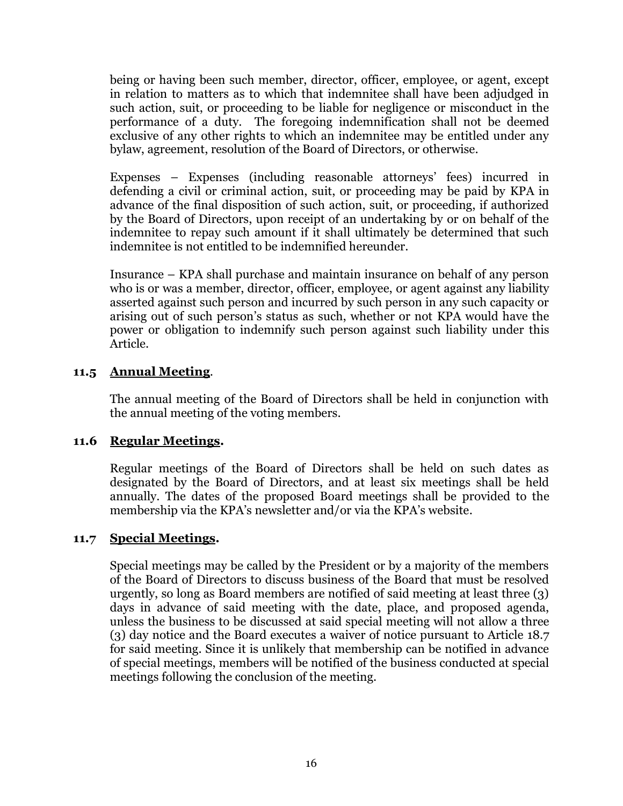being or having been such member, director, officer, employee, or agent, except in relation to matters as to which that indemnitee shall have been adjudged in such action, suit, or proceeding to be liable for negligence or misconduct in the performance of a duty. The foregoing indemnification shall not be deemed exclusive of any other rights to which an indemnitee may be entitled under any bylaw, agreement, resolution of the Board of Directors, or otherwise.

Expenses – Expenses (including reasonable attorneys' fees) incurred in defending a civil or criminal action, suit, or proceeding may be paid by KPA in advance of the final disposition of such action, suit, or proceeding, if authorized by the Board of Directors, upon receipt of an undertaking by or on behalf of the indemnitee to repay such amount if it shall ultimately be determined that such indemnitee is not entitled to be indemnified hereunder.

Insurance – KPA shall purchase and maintain insurance on behalf of any person who is or was a member, director, officer, employee, or agent against any liability asserted against such person and incurred by such person in any such capacity or arising out of such person's status as such, whether or not KPA would have the power or obligation to indemnify such person against such liability under this Article.

# **11.5 Annual Meeting**.

The annual meeting of the Board of Directors shall be held in conjunction with the annual meeting of the voting members.

# **11.6 Regular Meetings.**

Regular meetings of the Board of Directors shall be held on such dates as designated by the Board of Directors, and at least six meetings shall be held annually. The dates of the proposed Board meetings shall be provided to the membership via the KPA's newsletter and/or via the KPA's website.

# **11.7 Special Meetings.**

Special meetings may be called by the President or by a majority of the members of the Board of Directors to discuss business of the Board that must be resolved urgently, so long as Board members are notified of said meeting at least three (3) days in advance of said meeting with the date, place, and proposed agenda, unless the business to be discussed at said special meeting will not allow a three (3) day notice and the Board executes a waiver of notice pursuant to Article 18.7 for said meeting. Since it is unlikely that membership can be notified in advance of special meetings, members will be notified of the business conducted at special meetings following the conclusion of the meeting.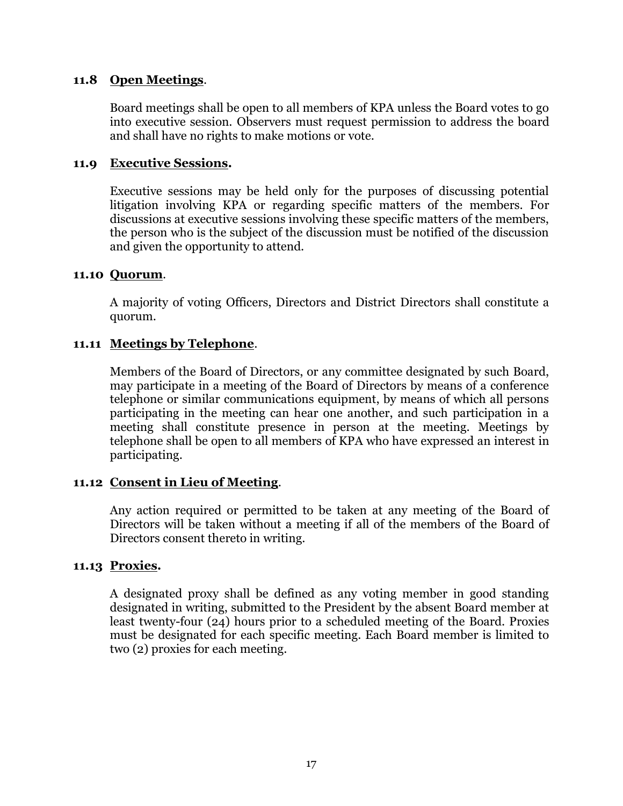### **11.8 Open Meetings**.

Board meetings shall be open to all members of KPA unless the Board votes to go into executive session. Observers must request permission to address the board and shall have no rights to make motions or vote.

#### **11.9 Executive Sessions.**

Executive sessions may be held only for the purposes of discussing potential litigation involving KPA or regarding specific matters of the members. For discussions at executive sessions involving these specific matters of the members, the person who is the subject of the discussion must be notified of the discussion and given the opportunity to attend.

#### **11.10 Quorum**.

A majority of voting Officers, Directors and District Directors shall constitute a quorum.

# **11.11 Meetings by Telephone**.

Members of the Board of Directors, or any committee designated by such Board, may participate in a meeting of the Board of Directors by means of a conference telephone or similar communications equipment, by means of which all persons participating in the meeting can hear one another, and such participation in a meeting shall constitute presence in person at the meeting. Meetings by telephone shall be open to all members of KPA who have expressed an interest in participating.

# **11.12 Consent in Lieu of Meeting**.

Any action required or permitted to be taken at any meeting of the Board of Directors will be taken without a meeting if all of the members of the Board of Directors consent thereto in writing.

# **11.13 Proxies.**

A designated proxy shall be defined as any voting member in good standing designated in writing, submitted to the President by the absent Board member at least twenty-four (24) hours prior to a scheduled meeting of the Board. Proxies must be designated for each specific meeting. Each Board member is limited to two (2) proxies for each meeting.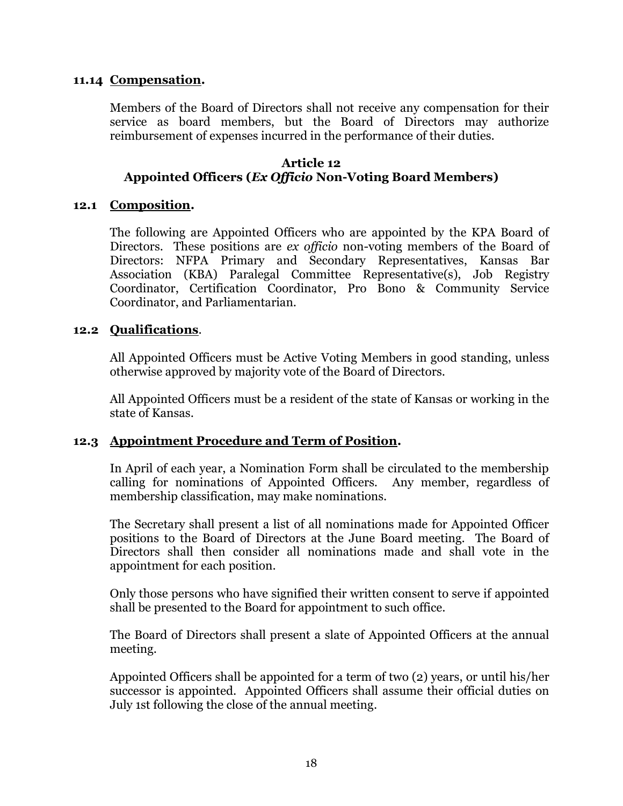#### **11.14 Compensation.**

Members of the Board of Directors shall not receive any compensation for their service as board members, but the Board of Directors may authorize reimbursement of expenses incurred in the performance of their duties.

#### **Article 12 Appointed Officers (***Ex Officio* **Non-Voting Board Members)**

#### **12.1 Composition.**

The following are Appointed Officers who are appointed by the KPA Board of Directors. These positions are *ex officio* non-voting members of the Board of Directors: NFPA Primary and Secondary Representatives, Kansas Bar Association (KBA) Paralegal Committee Representative(s), Job Registry Coordinator, Certification Coordinator, Pro Bono & Community Service Coordinator, and Parliamentarian.

#### **12.2 Qualifications**.

All Appointed Officers must be Active Voting Members in good standing, unless otherwise approved by majority vote of the Board of Directors.

All Appointed Officers must be a resident of the state of Kansas or working in the state of Kansas.

# **12.3 Appointment Procedure and Term of Position.**

In April of each year, a Nomination Form shall be circulated to the membership calling for nominations of Appointed Officers. Any member, regardless of membership classification, may make nominations.

The Secretary shall present a list of all nominations made for Appointed Officer positions to the Board of Directors at the June Board meeting. The Board of Directors shall then consider all nominations made and shall vote in the appointment for each position.

Only those persons who have signified their written consent to serve if appointed shall be presented to the Board for appointment to such office.

The Board of Directors shall present a slate of Appointed Officers at the annual meeting.

Appointed Officers shall be appointed for a term of two (2) years, or until his/her successor is appointed. Appointed Officers shall assume their official duties on July 1st following the close of the annual meeting.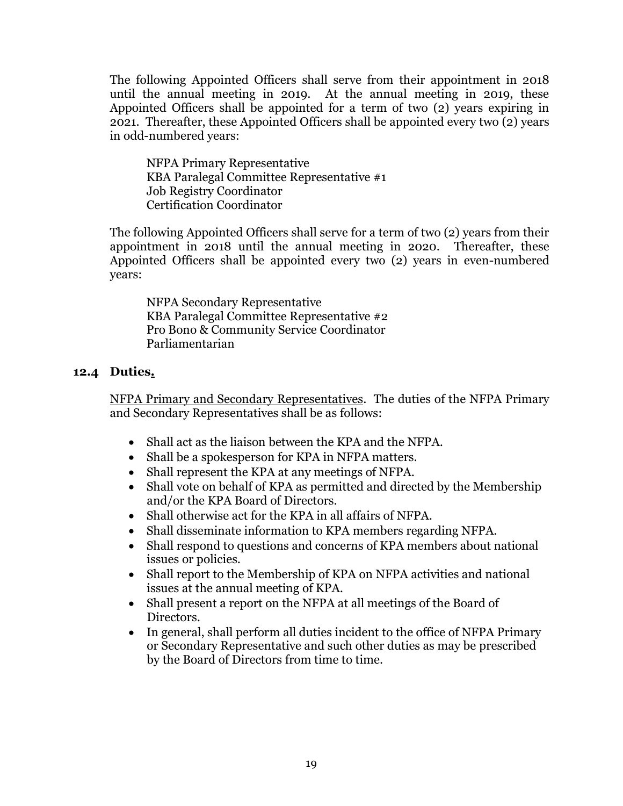The following Appointed Officers shall serve from their appointment in 2018 until the annual meeting in 2019. At the annual meeting in 2019, these Appointed Officers shall be appointed for a term of two (2) years expiring in 2021. Thereafter, these Appointed Officers shall be appointed every two (2) years in odd-numbered years:

NFPA Primary Representative KBA Paralegal Committee Representative #1 Job Registry Coordinator Certification Coordinator

The following Appointed Officers shall serve for a term of two (2) years from their appointment in 2018 until the annual meeting in 2020. Thereafter, these Appointed Officers shall be appointed every two (2) years in even-numbered years:

NFPA Secondary Representative KBA Paralegal Committee Representative #2 Pro Bono & Community Service Coordinator Parliamentarian

# **12.4 Duties.**

NFPA Primary and Secondary Representatives. The duties of the NFPA Primary and Secondary Representatives shall be as follows:

- Shall act as the liaison between the KPA and the NFPA.
- Shall be a spokesperson for KPA in NFPA matters.
- Shall represent the KPA at any meetings of NFPA.
- Shall vote on behalf of KPA as permitted and directed by the Membership and/or the KPA Board of Directors.
- Shall otherwise act for the KPA in all affairs of NFPA.
- Shall disseminate information to KPA members regarding NFPA.
- Shall respond to questions and concerns of KPA members about national issues or policies.
- Shall report to the Membership of KPA on NFPA activities and national issues at the annual meeting of KPA.
- Shall present a report on the NFPA at all meetings of the Board of Directors.
- In general, shall perform all duties incident to the office of NFPA Primary or Secondary Representative and such other duties as may be prescribed by the Board of Directors from time to time.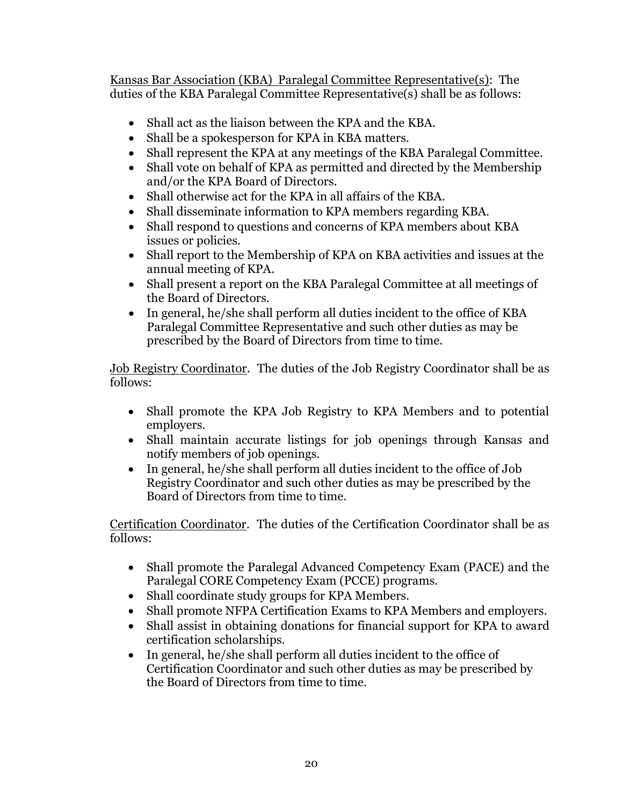Kansas Bar Association (KBA) Paralegal Committee Representative(s): The duties of the KBA Paralegal Committee Representative(s) shall be as follows:

- Shall act as the liaison between the KPA and the KBA.
- Shall be a spokesperson for KPA in KBA matters.
- Shall represent the KPA at any meetings of the KBA Paralegal Committee.
- Shall vote on behalf of KPA as permitted and directed by the Membership and/or the KPA Board of Directors.
- Shall otherwise act for the KPA in all affairs of the KBA.
- Shall disseminate information to KPA members regarding KBA.
- Shall respond to questions and concerns of KPA members about KBA issues or policies.
- Shall report to the Membership of KPA on KBA activities and issues at the annual meeting of KPA.
- Shall present a report on the KBA Paralegal Committee at all meetings of the Board of Directors.
- In general, he/she shall perform all duties incident to the office of KBA Paralegal Committee Representative and such other duties as may be prescribed by the Board of Directors from time to time.

Job Registry Coordinator. The duties of the Job Registry Coordinator shall be as follows:

- Shall promote the KPA Job Registry to KPA Members and to potential employers.
- Shall maintain accurate listings for job openings through Kansas and notify members of job openings.
- In general, he/she shall perform all duties incident to the office of Job Registry Coordinator and such other duties as may be prescribed by the Board of Directors from time to time.

Certification Coordinator. The duties of the Certification Coordinator shall be as follows:

- Shall promote the Paralegal Advanced Competency Exam (PACE) and the Paralegal CORE Competency Exam (PCCE) programs.
- Shall coordinate study groups for KPA Members.
- Shall promote NFPA Certification Exams to KPA Members and employers.
- Shall assist in obtaining donations for financial support for KPA to award certification scholarships.
- In general, he/she shall perform all duties incident to the office of Certification Coordinator and such other duties as may be prescribed by the Board of Directors from time to time.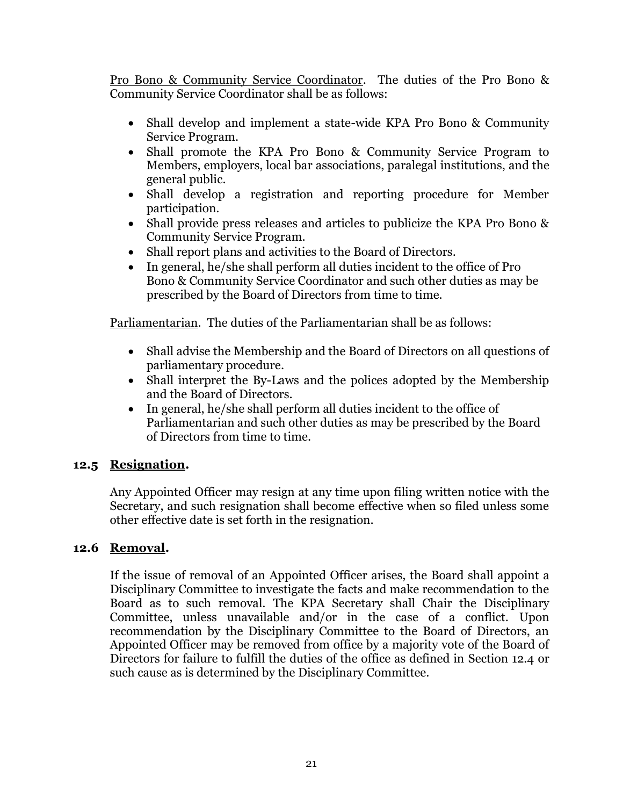Pro Bono & Community Service Coordinator. The duties of the Pro Bono & Community Service Coordinator shall be as follows:

- Shall develop and implement a state-wide KPA Pro Bono & Community Service Program.
- Shall promote the KPA Pro Bono & Community Service Program to Members, employers, local bar associations, paralegal institutions, and the general public.
- Shall develop a registration and reporting procedure for Member participation.
- Shall provide press releases and articles to publicize the KPA Pro Bono & Community Service Program.
- Shall report plans and activities to the Board of Directors.
- In general, he/she shall perform all duties incident to the office of Pro Bono & Community Service Coordinator and such other duties as may be prescribed by the Board of Directors from time to time.

Parliamentarian. The duties of the Parliamentarian shall be as follows:

- Shall advise the Membership and the Board of Directors on all questions of parliamentary procedure.
- Shall interpret the By-Laws and the polices adopted by the Membership and the Board of Directors.
- In general, he/she shall perform all duties incident to the office of Parliamentarian and such other duties as may be prescribed by the Board of Directors from time to time.

# **12.5 Resignation.**

Any Appointed Officer may resign at any time upon filing written notice with the Secretary, and such resignation shall become effective when so filed unless some other effective date is set forth in the resignation.

# **12.6 Removal.**

If the issue of removal of an Appointed Officer arises, the Board shall appoint a Disciplinary Committee to investigate the facts and make recommendation to the Board as to such removal. The KPA Secretary shall Chair the Disciplinary Committee, unless unavailable and/or in the case of a conflict. Upon recommendation by the Disciplinary Committee to the Board of Directors, an Appointed Officer may be removed from office by a majority vote of the Board of Directors for failure to fulfill the duties of the office as defined in Section 12.4 or such cause as is determined by the Disciplinary Committee.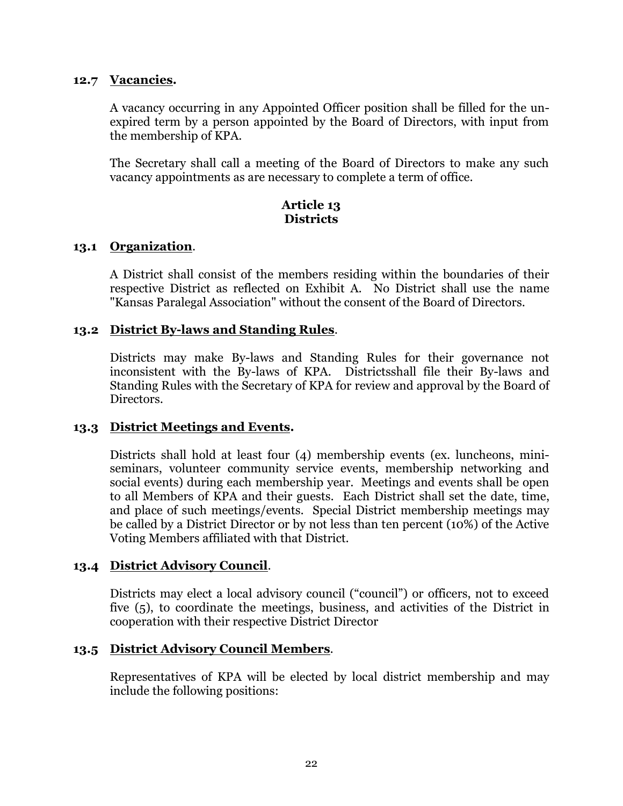#### **12.7 Vacancies.**

A vacancy occurring in any Appointed Officer position shall be filled for the unexpired term by a person appointed by the Board of Directors, with input from the membership of KPA.

The Secretary shall call a meeting of the Board of Directors to make any such vacancy appointments as are necessary to complete a term of office.

# **Article 13 Districts**

#### **13.1 Organization**.

A District shall consist of the members residing within the boundaries of their respective District as reflected on Exhibit A. No District shall use the name "Kansas Paralegal Association" without the consent of the Board of Directors.

# **13.2 District By-laws and Standing Rules**.

Districts may make By-laws and Standing Rules for their governance not inconsistent with the By-laws of KPA. Districtsshall file their By-laws and Standing Rules with the Secretary of KPA for review and approval by the Board of Directors.

# **13.3 District Meetings and Events.**

Districts shall hold at least four (4) membership events (ex. luncheons, miniseminars, volunteer community service events, membership networking and social events) during each membership year. Meetings and events shall be open to all Members of KPA and their guests. Each District shall set the date, time, and place of such meetings/events. Special District membership meetings may be called by a District Director or by not less than ten percent (10%) of the Active Voting Members affiliated with that District.

# **13.4 District Advisory Council**.

Districts may elect a local advisory council ("council") or officers, not to exceed five (5), to coordinate the meetings, business, and activities of the District in cooperation with their respective District Director

# **13.5 District Advisory Council Members**.

Representatives of KPA will be elected by local district membership and may include the following positions: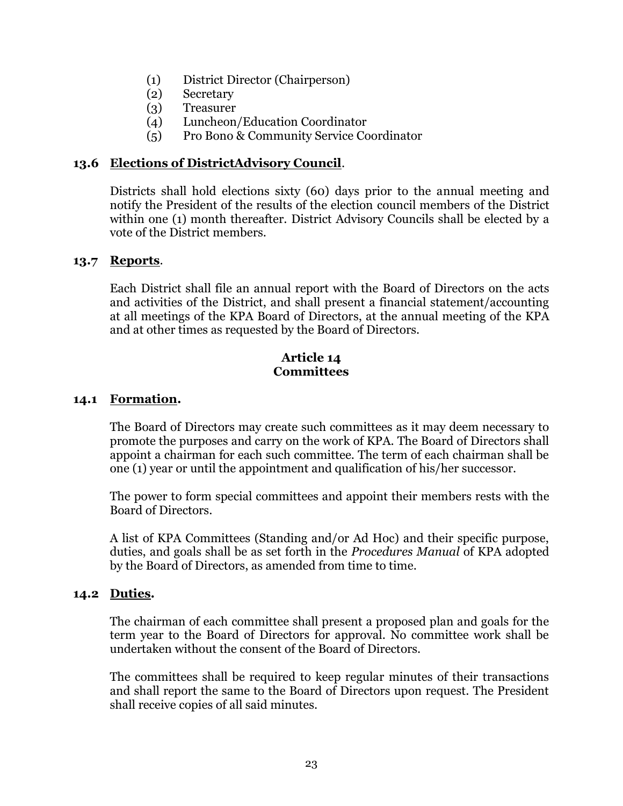- (1) District Director (Chairperson)
- (2) Secretary
- (3) Treasurer
- (4) Luncheon/Education Coordinator
- (5) Pro Bono & Community Service Coordinator

# **13.6 Elections of DistrictAdvisory Council**.

Districts shall hold elections sixty (60) days prior to the annual meeting and notify the President of the results of the election council members of the District within one (1) month thereafter. District Advisory Councils shall be elected by a vote of the District members.

# **13.7 Reports**.

Each District shall file an annual report with the Board of Directors on the acts and activities of the District, and shall present a financial statement/accounting at all meetings of the KPA Board of Directors, at the annual meeting of the KPA and at other times as requested by the Board of Directors.

#### **Article 14 Committees**

### **14.1 Formation.**

The Board of Directors may create such committees as it may deem necessary to promote the purposes and carry on the work of KPA. The Board of Directors shall appoint a chairman for each such committee. The term of each chairman shall be one (1) year or until the appointment and qualification of his/her successor.

The power to form special committees and appoint their members rests with the Board of Directors.

A list of KPA Committees (Standing and/or Ad Hoc) and their specific purpose, duties, and goals shall be as set forth in the *Procedures Manual* of KPA adopted by the Board of Directors, as amended from time to time.

# **14.2 Duties.**

The chairman of each committee shall present a proposed plan and goals for the term year to the Board of Directors for approval. No committee work shall be undertaken without the consent of the Board of Directors.

The committees shall be required to keep regular minutes of their transactions and shall report the same to the Board of Directors upon request. The President shall receive copies of all said minutes.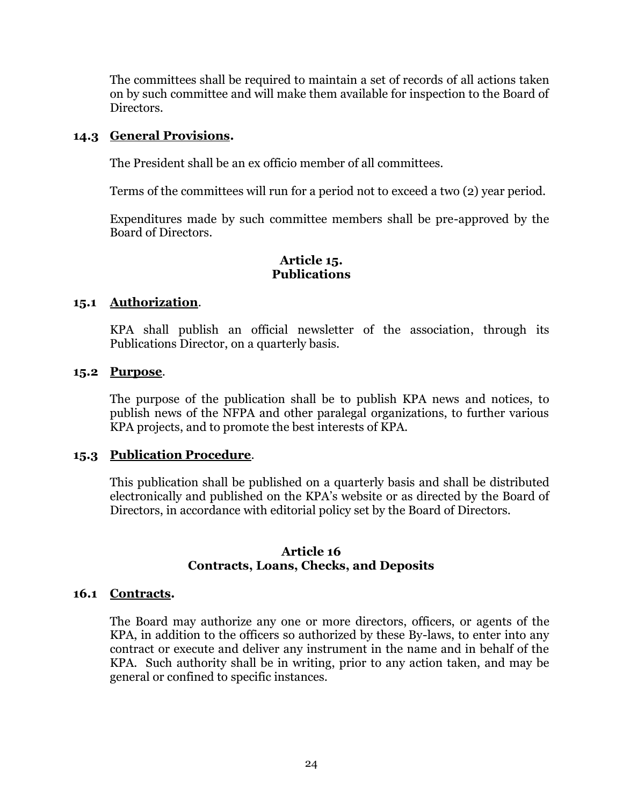The committees shall be required to maintain a set of records of all actions taken on by such committee and will make them available for inspection to the Board of Directors.

### **14.3 General Provisions.**

The President shall be an ex officio member of all committees.

Terms of the committees will run for a period not to exceed a two (2) year period.

Expenditures made by such committee members shall be pre-approved by the Board of Directors.

# **Article 15. Publications**

# **15.1 Authorization**.

KPA shall publish an official newsletter of the association, through its Publications Director, on a quarterly basis.

# **15.2 Purpose**.

The purpose of the publication shall be to publish KPA news and notices, to publish news of the NFPA and other paralegal organizations, to further various KPA projects, and to promote the best interests of KPA.

# **15.3 Publication Procedure**.

This publication shall be published on a quarterly basis and shall be distributed electronically and published on the KPA's website or as directed by the Board of Directors, in accordance with editorial policy set by the Board of Directors.

#### **Article 16 Contracts, Loans, Checks, and Deposits**

# **16.1 Contracts.**

The Board may authorize any one or more directors, officers, or agents of the KPA, in addition to the officers so authorized by these By-laws, to enter into any contract or execute and deliver any instrument in the name and in behalf of the KPA. Such authority shall be in writing, prior to any action taken, and may be general or confined to specific instances.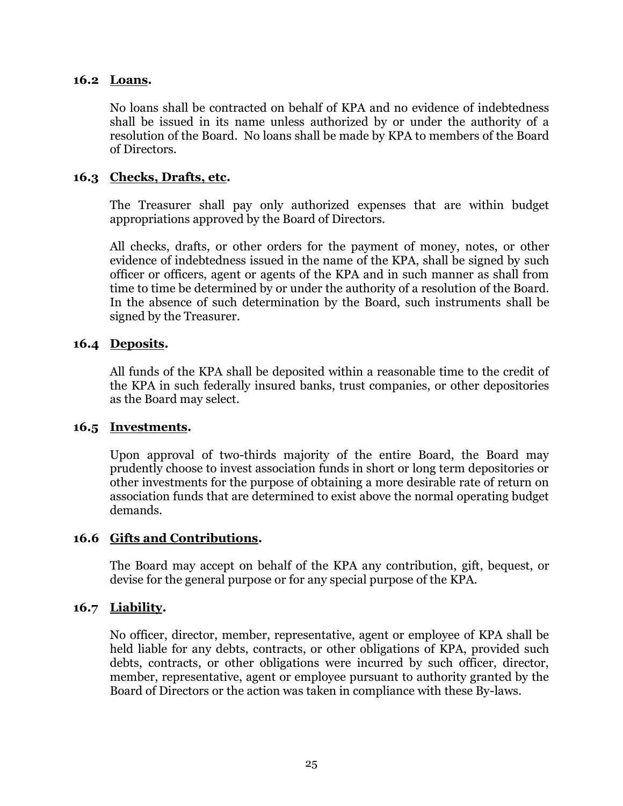#### **16.2 Loans.**

No loans shall be contracted on behalf of KPA and no evidence of indebtedness shall be issued in its name unless authorized by or under the authority of a resolution of the Board. No loans shall be made by KPA to members of the Board of Directors.

# **16.3 Checks, Drafts, etc.**

The Treasurer shall pay only authorized expenses that are within budget appropriations approved by the Board of Directors.

All checks, drafts, or other orders for the payment of money, notes, or other evidence of indebtedness issued in the name of the KPA, shall be signed by such officer or officers, agent or agents of the KPA and in such manner as shall from time to time be determined by or under the authority of a resolution of the Board. In the absence of such determination by the Board, such instruments shall be signed by the Treasurer.

# **16.4 Deposits.**

All funds of the KPA shall be deposited within a reasonable time to the credit of the KPA in such federally insured banks, trust companies, or other depositories as the Board may select.

# **16.5 Investments.**

Upon approval of two-thirds majority of the entire Board, the Board may prudently choose to invest association funds in short or long term depositories or other investments for the purpose of obtaining a more desirable rate of return on association funds that are determined to exist above the normal operating budget demands.

# **16.6 Gifts and Contributions.**

The Board may accept on behalf of the KPA any contribution, gift, bequest, or devise for the general purpose or for any special purpose of the KPA.

# **16.7 Liability.**

No officer, director, member, representative, agent or employee of KPA shall be held liable for any debts, contracts, or other obligations of KPA, provided such debts, contracts, or other obligations were incurred by such officer, director, member, representative, agent or employee pursuant to authority granted by the Board of Directors or the action was taken in compliance with these By-laws.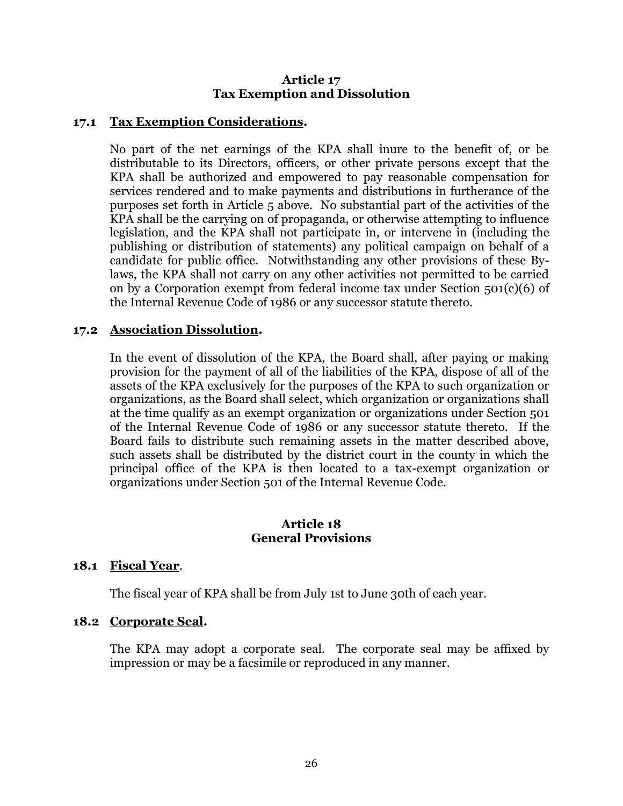# **Article 17 Tax Exemption and Dissolution**

### **17.1 Tax Exemption Considerations.**

No part of the net earnings of the KPA shall inure to the benefit of, or be distributable to its Directors, officers, or other private persons except that the KPA shall be authorized and empowered to pay reasonable compensation for services rendered and to make payments and distributions in furtherance of the purposes set forth in Article 5 above. No substantial part of the activities of the KPA shall be the carrying on of propaganda, or otherwise attempting to influence legislation, and the KPA shall not participate in, or intervene in (including the publishing or distribution of statements) any political campaign on behalf of a candidate for public office. Notwithstanding any other provisions of these Bylaws, the KPA shall not carry on any other activities not permitted to be carried on by a Corporation exempt from federal income tax under Section  $501(c)(6)$  of the Internal Revenue Code of 1986 or any successor statute thereto.

#### **17.2 Association Dissolution.**

In the event of dissolution of the KPA, the Board shall, after paying or making provision for the payment of all of the liabilities of the KPA, dispose of all of the assets of the KPA exclusively for the purposes of the KPA to such organization or organizations, as the Board shall select, which organization or organizations shall at the time qualify as an exempt organization or organizations under Section 501 of the Internal Revenue Code of 1986 or any successor statute thereto. If the Board fails to distribute such remaining assets in the matter described above, such assets shall be distributed by the district court in the county in which the principal office of the KPA is then located to a tax-exempt organization or organizations under Section 501 of the Internal Revenue Code.

#### **Article 18 General Provisions**

#### **18.1 Fiscal Year**.

The fiscal year of KPA shall be from July 1st to June 30th of each year.

#### **18.2 Corporate Seal.**

The KPA may adopt a corporate seal. The corporate seal may be affixed by impression or may be a facsimile or reproduced in any manner.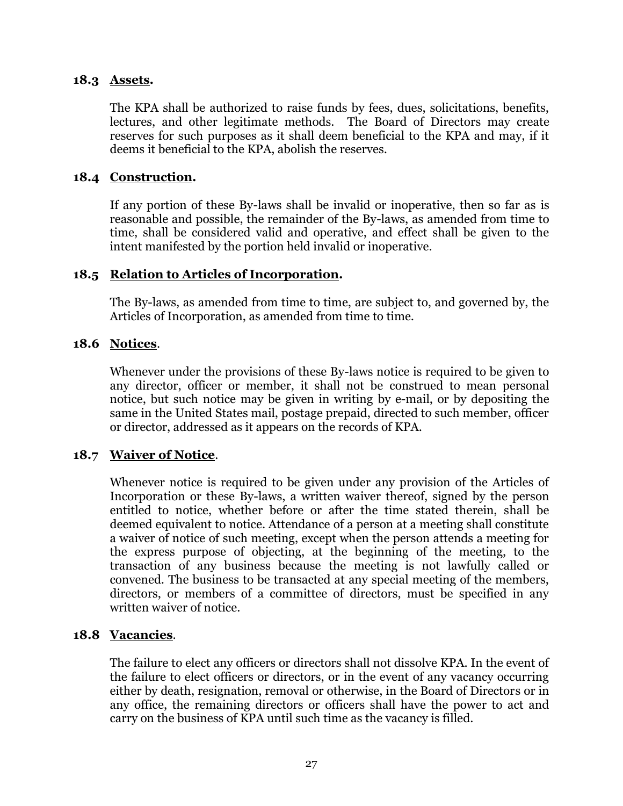### **18.3 Assets.**

The KPA shall be authorized to raise funds by fees, dues, solicitations, benefits, lectures, and other legitimate methods. The Board of Directors may create reserves for such purposes as it shall deem beneficial to the KPA and may, if it deems it beneficial to the KPA, abolish the reserves.

# **18.4 Construction.**

If any portion of these By-laws shall be invalid or inoperative, then so far as is reasonable and possible, the remainder of the By-laws, as amended from time to time, shall be considered valid and operative, and effect shall be given to the intent manifested by the portion held invalid or inoperative.

#### **18.5 Relation to Articles of Incorporation.**

The By-laws, as amended from time to time, are subject to, and governed by, the Articles of Incorporation, as amended from time to time.

#### **18.6 Notices**.

Whenever under the provisions of these By-laws notice is required to be given to any director, officer or member, it shall not be construed to mean personal notice, but such notice may be given in writing by e-mail, or by depositing the same in the United States mail, postage prepaid, directed to such member, officer or director, addressed as it appears on the records of KPA.

# **18.7 Waiver of Notice**.

Whenever notice is required to be given under any provision of the Articles of Incorporation or these By-laws, a written waiver thereof, signed by the person entitled to notice, whether before or after the time stated therein, shall be deemed equivalent to notice. Attendance of a person at a meeting shall constitute a waiver of notice of such meeting, except when the person attends a meeting for the express purpose of objecting, at the beginning of the meeting, to the transaction of any business because the meeting is not lawfully called or convened. The business to be transacted at any special meeting of the members, directors, or members of a committee of directors, must be specified in any written waiver of notice.

# **18.8 Vacancies**.

The failure to elect any officers or directors shall not dissolve KPA. In the event of the failure to elect officers or directors, or in the event of any vacancy occurring either by death, resignation, removal or otherwise, in the Board of Directors or in any office, the remaining directors or officers shall have the power to act and carry on the business of KPA until such time as the vacancy is filled.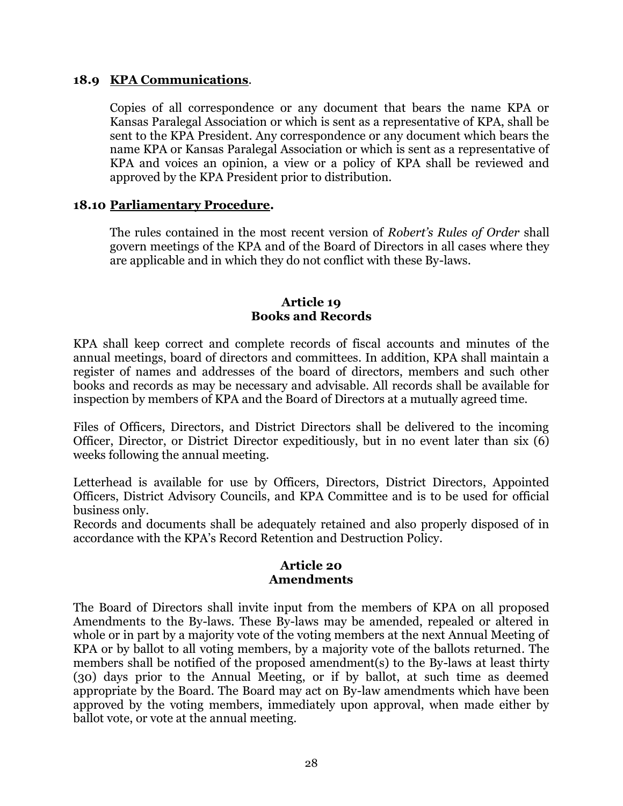#### **18.9 KPA Communications**.

Copies of all correspondence or any document that bears the name KPA or Kansas Paralegal Association or which is sent as a representative of KPA, shall be sent to the KPA President. Any correspondence or any document which bears the name KPA or Kansas Paralegal Association or which is sent as a representative of KPA and voices an opinion, a view or a policy of KPA shall be reviewed and approved by the KPA President prior to distribution.

#### **18.10 Parliamentary Procedure.**

The rules contained in the most recent version of *Robert's Rules of Order* shall govern meetings of the KPA and of the Board of Directors in all cases where they are applicable and in which they do not conflict with these By-laws.

#### **Article 19 Books and Records**

KPA shall keep correct and complete records of fiscal accounts and minutes of the annual meetings, board of directors and committees. In addition, KPA shall maintain a register of names and addresses of the board of directors, members and such other books and records as may be necessary and advisable. All records shall be available for inspection by members of KPA and the Board of Directors at a mutually agreed time.

Files of Officers, Directors, and District Directors shall be delivered to the incoming Officer, Director, or District Director expeditiously, but in no event later than six (6) weeks following the annual meeting.

Letterhead is available for use by Officers, Directors, District Directors, Appointed Officers, District Advisory Councils, and KPA Committee and is to be used for official business only.

Records and documents shall be adequately retained and also properly disposed of in accordance with the KPA's Record Retention and Destruction Policy.

#### **Article 20 Amendments**

The Board of Directors shall invite input from the members of KPA on all proposed Amendments to the By-laws. These By-laws may be amended, repealed or altered in whole or in part by a majority vote of the voting members at the next Annual Meeting of KPA or by ballot to all voting members, by a majority vote of the ballots returned. The members shall be notified of the proposed amendment(s) to the By-laws at least thirty (30) days prior to the Annual Meeting, or if by ballot, at such time as deemed appropriate by the Board. The Board may act on By-law amendments which have been approved by the voting members, immediately upon approval, when made either by ballot vote, or vote at the annual meeting.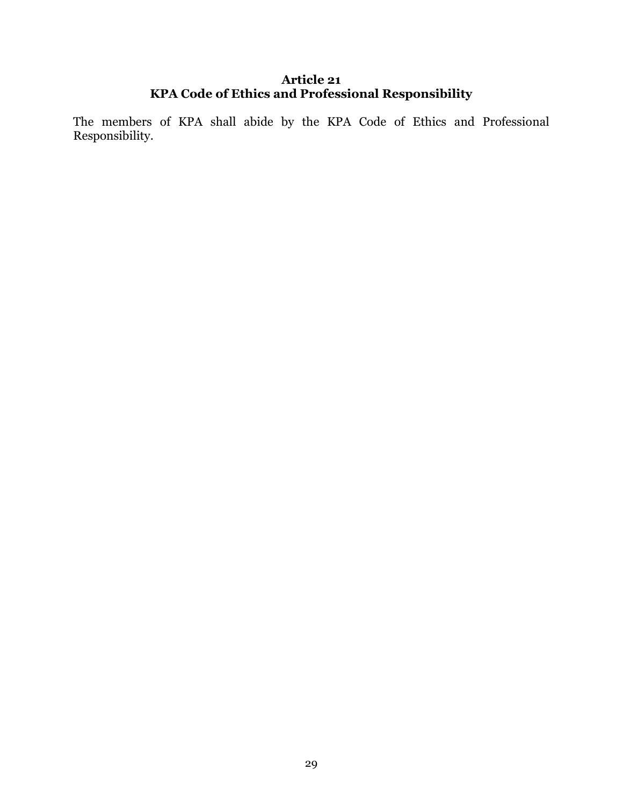# **Article 21 KPA Code of Ethics and Professional Responsibility**

The members of KPA shall abide by the KPA Code of Ethics and Professional Responsibility.